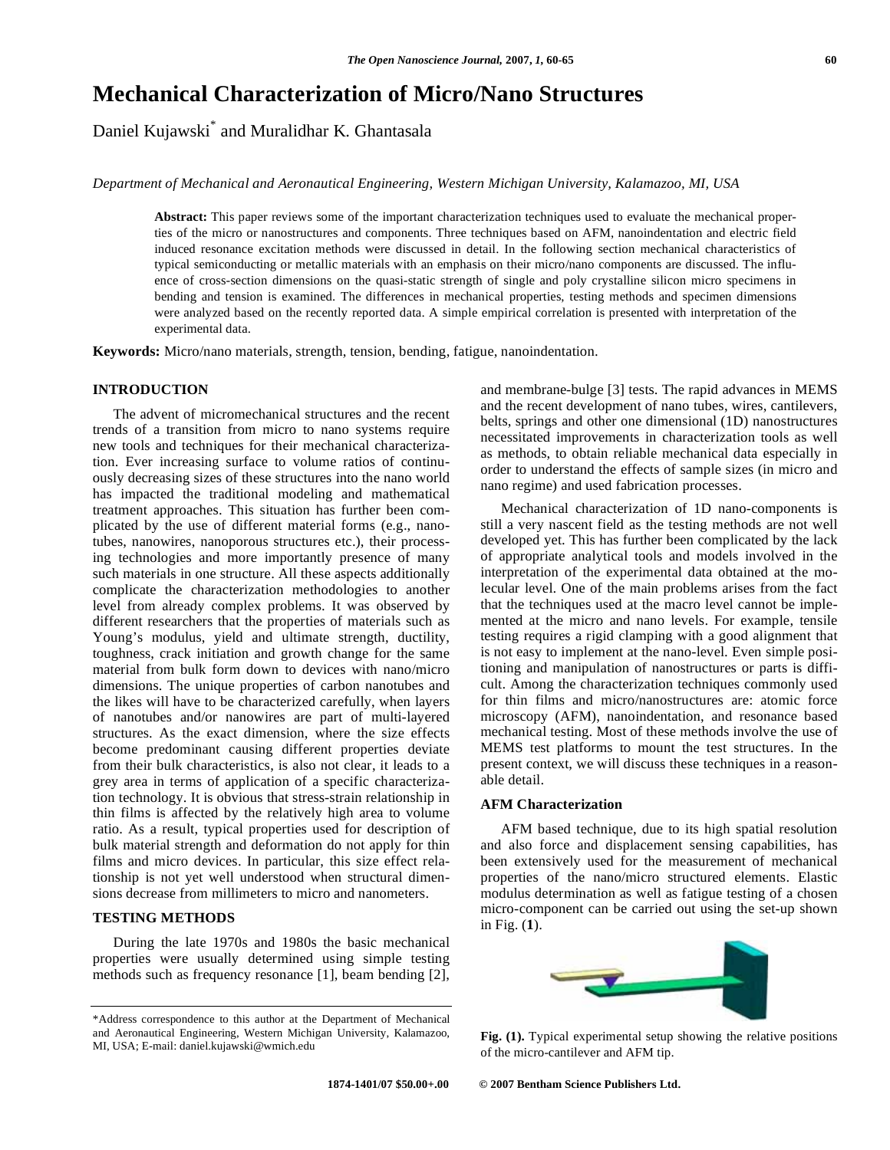# **Mechanical Characterization of Micro/Nano Structures**

Daniel Kujawski\* and Muralidhar K. Ghantasala

*Department of Mechanical and Aeronautical Engineering, Western Michigan University, Kalamazoo, MI, USA* 

**Abstract:** This paper reviews some of the important characterization techniques used to evaluate the mechanical properties of the micro or nanostructures and components. Three techniques based on AFM, nanoindentation and electric field induced resonance excitation methods were discussed in detail. In the following section mechanical characteristics of typical semiconducting or metallic materials with an emphasis on their micro/nano components are discussed. The influence of cross-section dimensions on the quasi-static strength of single and poly crystalline silicon micro specimens in bending and tension is examined. The differences in mechanical properties, testing methods and specimen dimensions were analyzed based on the recently reported data. A simple empirical correlation is presented with interpretation of the experimental data.

**Keywords:** Micro/nano materials, strength, tension, bending, fatigue, nanoindentation.

# **INTRODUCTION**

 The advent of micromechanical structures and the recent trends of a transition from micro to nano systems require new tools and techniques for their mechanical characterization. Ever increasing surface to volume ratios of continuously decreasing sizes of these structures into the nano world has impacted the traditional modeling and mathematical treatment approaches. This situation has further been complicated by the use of different material forms (e.g., nanotubes, nanowires, nanoporous structures etc.), their processing technologies and more importantly presence of many such materials in one structure. All these aspects additionally complicate the characterization methodologies to another level from already complex problems. It was observed by different researchers that the properties of materials such as Young's modulus, yield and ultimate strength, ductility, toughness, crack initiation and growth change for the same material from bulk form down to devices with nano/micro dimensions. The unique properties of carbon nanotubes and the likes will have to be characterized carefully, when layers of nanotubes and/or nanowires are part of multi-layered structures. As the exact dimension, where the size effects become predominant causing different properties deviate from their bulk characteristics, is also not clear, it leads to a grey area in terms of application of a specific characterization technology. It is obvious that stress-strain relationship in thin films is affected by the relatively high area to volume ratio. As a result, typical properties used for description of bulk material strength and deformation do not apply for thin films and micro devices. In particular, this size effect relationship is not yet well understood when structural dimensions decrease from millimeters to micro and nanometers.

#### **TESTING METHODS**

 During the late 1970s and 1980s the basic mechanical properties were usually determined using simple testing methods such as frequency resonance [1], beam bending [2],

and membrane-bulge [3] tests. The rapid advances in MEMS and the recent development of nano tubes, wires, cantilevers, belts, springs and other one dimensional (1D) nanostructures necessitated improvements in characterization tools as well as methods, to obtain reliable mechanical data especially in order to understand the effects of sample sizes (in micro and nano regime) and used fabrication processes.

 Mechanical characterization of 1D nano-components is still a very nascent field as the testing methods are not well developed yet. This has further been complicated by the lack of appropriate analytical tools and models involved in the interpretation of the experimental data obtained at the molecular level. One of the main problems arises from the fact that the techniques used at the macro level cannot be implemented at the micro and nano levels. For example, tensile testing requires a rigid clamping with a good alignment that is not easy to implement at the nano-level. Even simple positioning and manipulation of nanostructures or parts is difficult. Among the characterization techniques commonly used for thin films and micro/nanostructures are: atomic force microscopy (AFM), nanoindentation, and resonance based mechanical testing. Most of these methods involve the use of MEMS test platforms to mount the test structures. In the present context, we will discuss these techniques in a reasonable detail.

#### **AFM Characterization**

 AFM based technique, due to its high spatial resolution and also force and displacement sensing capabilities, has been extensively used for the measurement of mechanical properties of the nano/micro structured elements. Elastic modulus determination as well as fatigue testing of a chosen micro-component can be carried out using the set-up shown in Fig. (**1**).



**Fig. (1).** Typical experimental setup showing the relative positions of the micro-cantilever and AFM tip.

<sup>\*</sup>Address correspondence to this author at the Department of Mechanical and Aeronautical Engineering, Western Michigan University, Kalamazoo, MI, USA; E-mail: daniel.kujawski@wmich.edu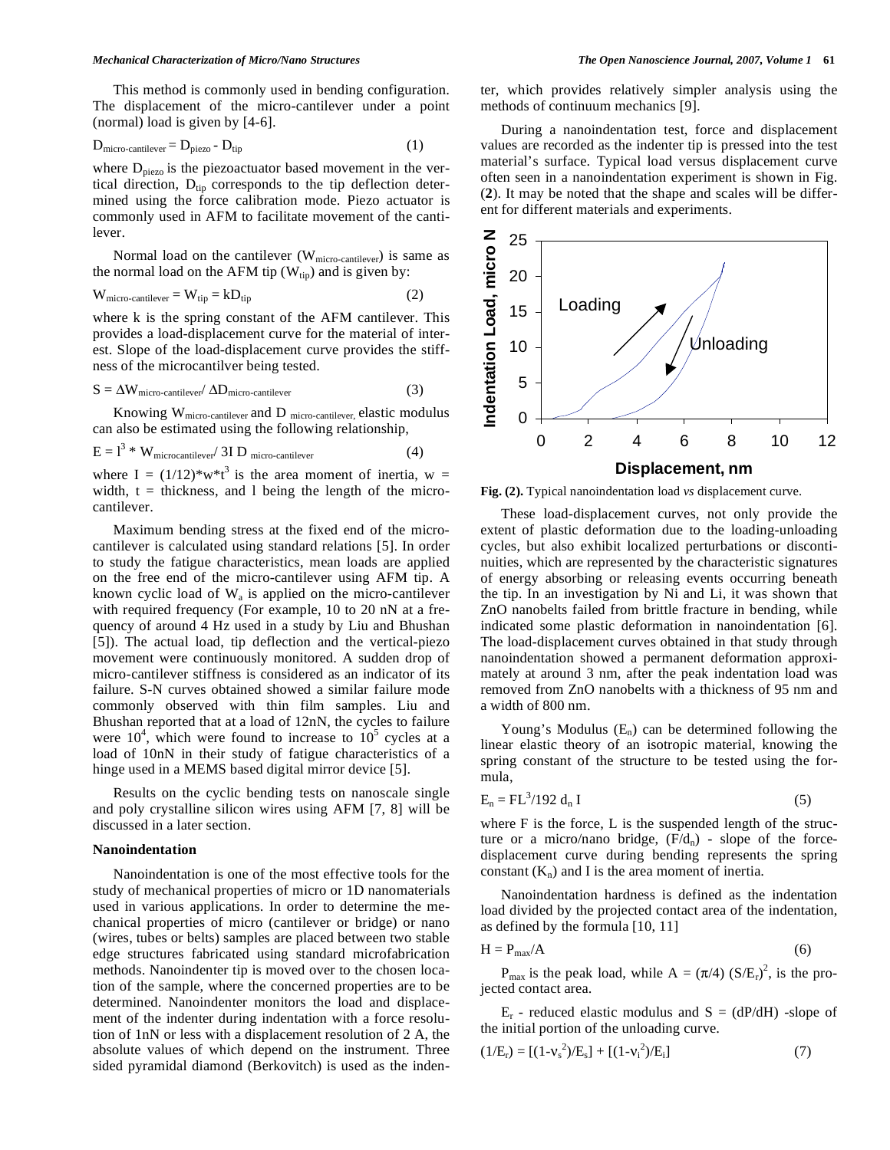This method is commonly used in bending configuration. The displacement of the micro-cantilever under a point (normal) load is given by [4-6].

$$
D_{micro-cantilever} = D_{piezo} - D_{tip}
$$
 (1)

where  $D_{\text{piezo}}$  is the piezoactuator based movement in the vertical direction,  $D_{tip}$  corresponds to the tip deflection determined using the force calibration mode. Piezo actuator is commonly used in AFM to facilitate movement of the cantilever.

Normal load on the cantilever  $(W_{micro-cantilever})$  is same as the normal load on the AFM tip  $(W_{tip})$  and is given by:

$$
W_{micro-cantilever} = W_{tip} = kD_{tip}
$$
 (2)

where k is the spring constant of the AFM cantilever. This provides a load-displacement curve for the material of interest. Slope of the load-displacement curve provides the stiffness of the microcantilver being tested.

$$
S = \Delta W_{micro-cantilever} / \Delta D_{micro-cantilever}
$$
 (3)

Knowing  $\mathbf{W}_{\text{micro-cantilever}}$  and D  $_{\text{micro-cantilever,}}$  elastic modulus can also be estimated using the following relationship,

$$
E = l3 * Wmicrocantilever / 3I Dmicro-cantilever
$$
 (4)

where I =  $(1/12)*w*t^3$  is the area moment of inertia, w = width,  $t =$  thickness, and 1 being the length of the microcantilever.

 Maximum bending stress at the fixed end of the microcantilever is calculated using standard relations [5]. In order to study the fatigue characteristics, mean loads are applied on the free end of the micro-cantilever using AFM tip. A known cyclic load of  $W_a$  is applied on the micro-cantilever with required frequency (For example, 10 to 20 nN at a frequency of around 4 Hz used in a study by Liu and Bhushan [5]). The actual load, tip deflection and the vertical-piezo movement were continuously monitored. A sudden drop of micro-cantilever stiffness is considered as an indicator of its failure. S-N curves obtained showed a similar failure mode commonly observed with thin film samples. Liu and Bhushan reported that at a load of 12nN, the cycles to failure were  $10^4$ , which were found to increase to  $10^5$  cycles at a load of 10nN in their study of fatigue characteristics of a hinge used in a MEMS based digital mirror device [5].

 Results on the cyclic bending tests on nanoscale single and poly crystalline silicon wires using AFM [7, 8] will be discussed in a later section.

#### **Nanoindentation**

 Nanoindentation is one of the most effective tools for the study of mechanical properties of micro or 1D nanomaterials used in various applications. In order to determine the mechanical properties of micro (cantilever or bridge) or nano (wires, tubes or belts) samples are placed between two stable edge structures fabricated using standard microfabrication methods. Nanoindenter tip is moved over to the chosen location of the sample, where the concerned properties are to be determined. Nanoindenter monitors the load and displacement of the indenter during indentation with a force resolution of 1nN or less with a displacement resolution of 2 A, the absolute values of which depend on the instrument. Three sided pyramidal diamond (Berkovitch) is used as the indenter, which provides relatively simpler analysis using the methods of continuum mechanics [9].

 During a nanoindentation test, force and displacement values are recorded as the indenter tip is pressed into the test material's surface. Typical load versus displacement curve often seen in a nanoindentation experiment is shown in Fig. (**2**). It may be noted that the shape and scales will be different for different materials and experiments.



**Fig. (2).** Typical nanoindentation load *vs* displacement curve.

 These load-displacement curves, not only provide the extent of plastic deformation due to the loading-unloading cycles, but also exhibit localized perturbations or discontinuities, which are represented by the characteristic signatures of energy absorbing or releasing events occurring beneath the tip. In an investigation by Ni and Li, it was shown that ZnO nanobelts failed from brittle fracture in bending, while indicated some plastic deformation in nanoindentation [6]. The load-displacement curves obtained in that study through nanoindentation showed a permanent deformation approximately at around 3 nm, after the peak indentation load was removed from ZnO nanobelts with a thickness of 95 nm and a width of 800 nm.

Young's Modulus  $(E_n)$  can be determined following the linear elastic theory of an isotropic material, knowing the spring constant of the structure to be tested using the formula,

$$
E_n = FL^3/192 d_n I \tag{5}
$$

where F is the force, L is the suspended length of the structure or a micro/nano bridge,  $(F/d_n)$  - slope of the forcedisplacement curve during bending represents the spring constant  $(K_n)$  and I is the area moment of inertia.

 Nanoindentation hardness is defined as the indentation load divided by the projected contact area of the indentation, as defined by the formula [10, 11]

$$
H = P_{\text{max}}/A \tag{6}
$$

 $P_{\text{max}}$  is the peak load, while  $A = (\pi/4) (S/E_r)^2$ , is the projected contact area.

 $E_r$  - reduced elastic modulus and  $S = (dP/dH)$  -slope of the initial portion of the unloading curve.

$$
(1/Er) = [(1-vs2)/Es] + [(1-vi2)/Ei]
$$
\n(7)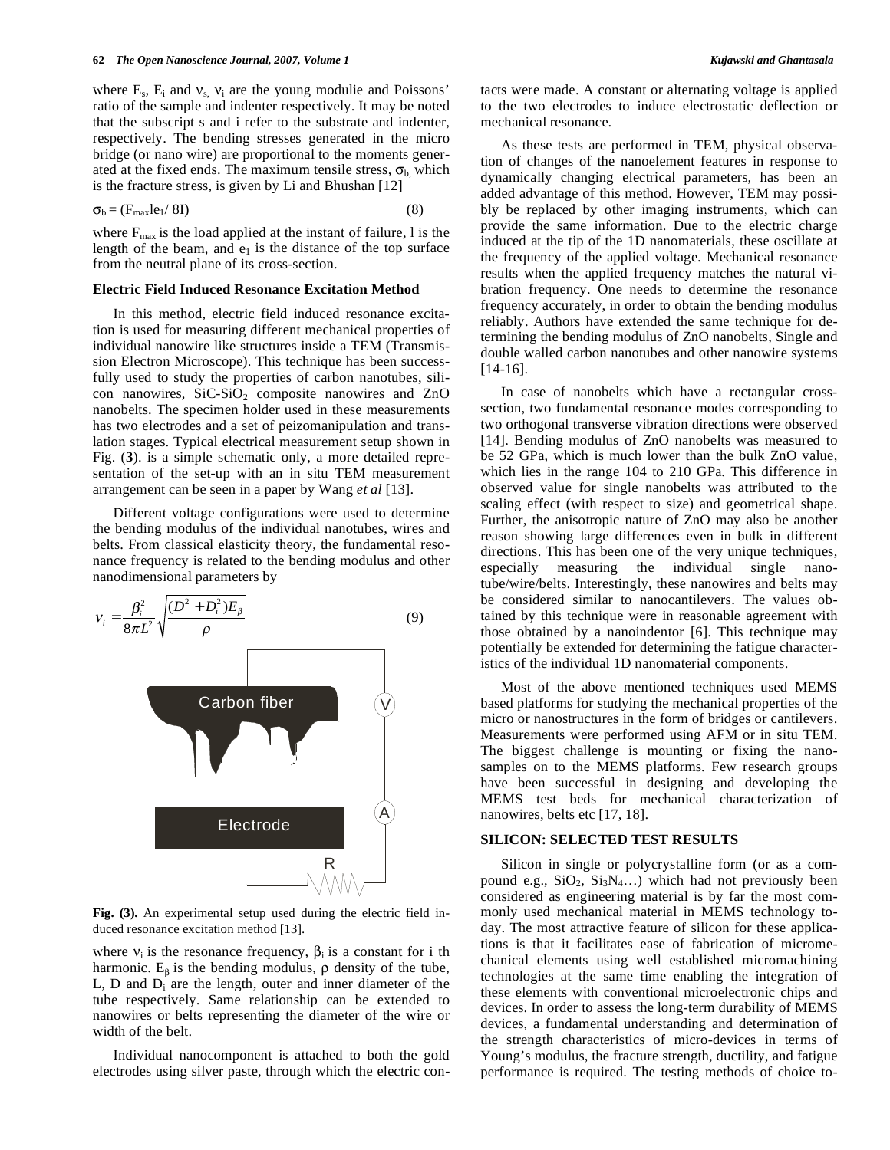where  $E_s$ ,  $E_i$  and  $v_s$ ,  $v_i$  are the young modulie and Poissons' ratio of the sample and indenter respectively. It may be noted that the subscript s and i refer to the substrate and indenter, respectively. The bending stresses generated in the micro bridge (or nano wire) are proportional to the moments generated at the fixed ends. The maximum tensile stress,  $\sigma_{b}$ , which is the fracture stress, is given by Li and Bhushan [12]

$$
\sigma_{b} = (F_{\text{max}}le_{1}/8I) \tag{8}
$$

where  $F_{\text{max}}$  is the load applied at the instant of failure, 1 is the length of the beam, and  $e_1$  is the distance of the top surface from the neutral plane of its cross-section.

#### **Electric Field Induced Resonance Excitation Method**

 In this method, electric field induced resonance excitation is used for measuring different mechanical properties of individual nanowire like structures inside a TEM (Transmission Electron Microscope). This technique has been successfully used to study the properties of carbon nanotubes, silicon nanowires,  $SiC-SiO<sub>2</sub>$  composite nanowires and  $ZnO$ nanobelts. The specimen holder used in these measurements has two electrodes and a set of peizomanipulation and translation stages. Typical electrical measurement setup shown in Fig. (**3**). is a simple schematic only, a more detailed representation of the set-up with an in situ TEM measurement arrangement can be seen in a paper by Wang *et al* [13].

 Different voltage configurations were used to determine the bending modulus of the individual nanotubes, wires and belts. From classical elasticity theory, the fundamental resonance frequency is related to the bending modulus and other nanodimensional parameters by



**Fig. (3).** An experimental setup used during the electric field induced resonance excitation method [13].

where  $v_i$  is the resonance frequency,  $\beta_i$  is a constant for i th harmonic.  $E_6$  is the bending modulus,  $\rho$  density of the tube,  $L$ ,  $D$  and  $D_i$  are the length, outer and inner diameter of the tube respectively. Same relationship can be extended to nanowires or belts representing the diameter of the wire or width of the belt.

 Individual nanocomponent is attached to both the gold electrodes using silver paste, through which the electric contacts were made. A constant or alternating voltage is applied to the two electrodes to induce electrostatic deflection or mechanical resonance.

 As these tests are performed in TEM, physical observation of changes of the nanoelement features in response to dynamically changing electrical parameters, has been an added advantage of this method. However, TEM may possibly be replaced by other imaging instruments, which can provide the same information. Due to the electric charge induced at the tip of the 1D nanomaterials, these oscillate at the frequency of the applied voltage. Mechanical resonance results when the applied frequency matches the natural vibration frequency. One needs to determine the resonance frequency accurately, in order to obtain the bending modulus reliably. Authors have extended the same technique for determining the bending modulus of ZnO nanobelts, Single and double walled carbon nanotubes and other nanowire systems [14-16].

 In case of nanobelts which have a rectangular crosssection, two fundamental resonance modes corresponding to two orthogonal transverse vibration directions were observed [14]. Bending modulus of ZnO nanobelts was measured to be 52 GPa, which is much lower than the bulk ZnO value, which lies in the range 104 to 210 GPa. This difference in observed value for single nanobelts was attributed to the scaling effect (with respect to size) and geometrical shape. Further, the anisotropic nature of ZnO may also be another reason showing large differences even in bulk in different directions. This has been one of the very unique techniques, especially measuring the individual single nanotube/wire/belts. Interestingly, these nanowires and belts may be considered similar to nanocantilevers. The values obtained by this technique were in reasonable agreement with those obtained by a nanoindentor [6]. This technique may potentially be extended for determining the fatigue characteristics of the individual 1D nanomaterial components.

 Most of the above mentioned techniques used MEMS based platforms for studying the mechanical properties of the micro or nanostructures in the form of bridges or cantilevers. Measurements were performed using AFM or in situ TEM. The biggest challenge is mounting or fixing the nanosamples on to the MEMS platforms. Few research groups have been successful in designing and developing the MEMS test beds for mechanical characterization of nanowires, belts etc [17, 18].

# **SILICON: SELECTED TEST RESULTS**

 Silicon in single or polycrystalline form (or as a compound e.g.,  $SiO_2$ ,  $Si_3N_4...$ ) which had not previously been considered as engineering material is by far the most commonly used mechanical material in MEMS technology today. The most attractive feature of silicon for these applications is that it facilitates ease of fabrication of micromechanical elements using well established micromachining technologies at the same time enabling the integration of these elements with conventional microelectronic chips and devices. In order to assess the long-term durability of MEMS devices, a fundamental understanding and determination of the strength characteristics of micro-devices in terms of Young's modulus, the fracture strength, ductility, and fatigue performance is required. The testing methods of choice to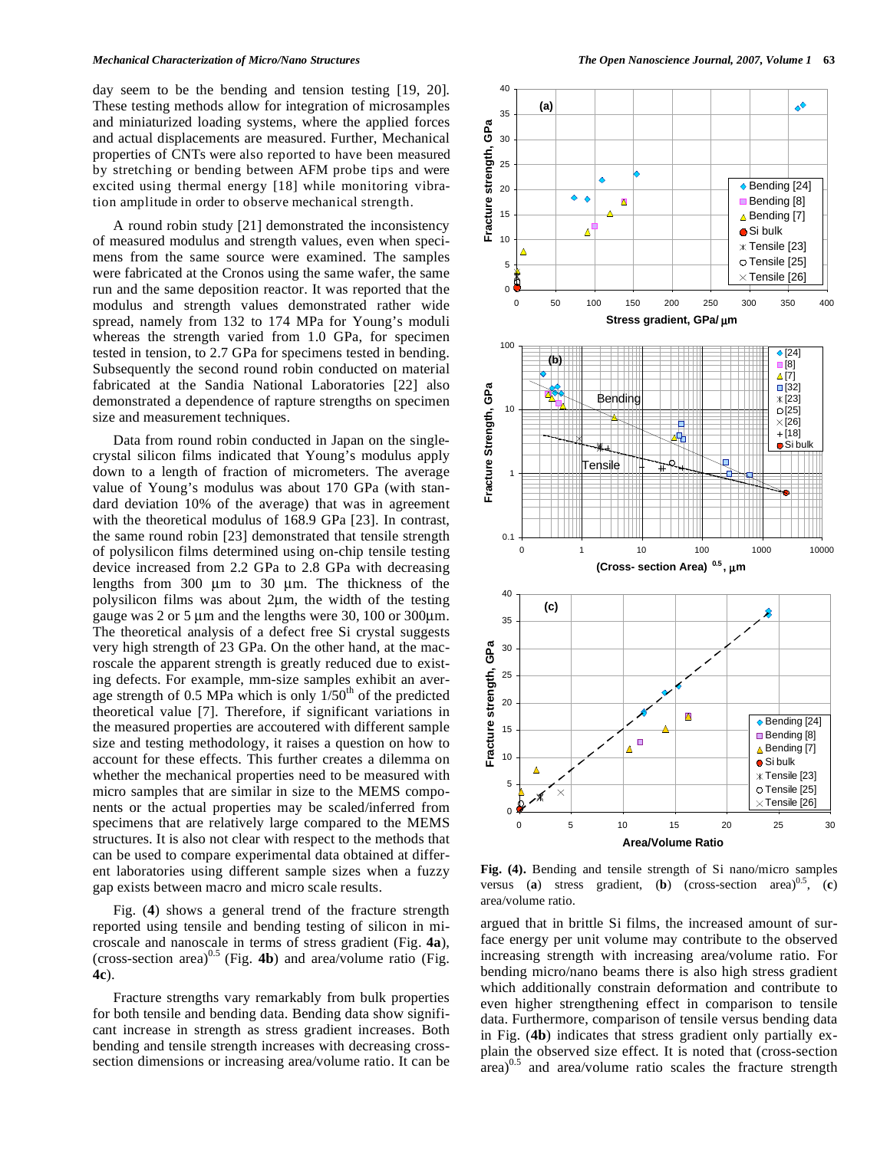day seem to be the bending and tension testing [19, 20]. These testing methods allow for integration of microsamples and miniaturized loading systems, where the applied forces and actual displacements are measured. Further, Mechanical properties of CNTs were also reported to have been measured by stretching or bending between AFM probe tips and were excited using thermal energy [18] while monitoring vibration amplitude in order to observe mechanical strength.

 A round robin study [21] demonstrated the inconsistency of measured modulus and strength values, even when specimens from the same source were examined. The samples were fabricated at the Cronos using the same wafer, the same run and the same deposition reactor. It was reported that the modulus and strength values demonstrated rather wide spread, namely from 132 to 174 MPa for Young's moduli whereas the strength varied from 1.0 GPa, for specimen tested in tension, to 2.7 GPa for specimens tested in bending. Subsequently the second round robin conducted on material fabricated at the Sandia National Laboratories [22] also demonstrated a dependence of rapture strengths on specimen size and measurement techniques.

 Data from round robin conducted in Japan on the singlecrystal silicon films indicated that Young's modulus apply down to a length of fraction of micrometers. The average value of Young's modulus was about 170 GPa (with standard deviation 10% of the average) that was in agreement with the theoretical modulus of 168.9 GPa [23]. In contrast, the same round robin [23] demonstrated that tensile strength of polysilicon films determined using on-chip tensile testing device increased from 2.2 GPa to 2.8 GPa with decreasing lengths from 300 μm to 30 μm. The thickness of the polysilicon films was about 2μm, the width of the testing gauge was 2 or 5 μm and the lengths were 30, 100 or 300μm. The theoretical analysis of a defect free Si crystal suggests very high strength of 23 GPa. On the other hand, at the macroscale the apparent strength is greatly reduced due to existing defects. For example, mm-size samples exhibit an average strength of 0.5 MPa which is only  $1/50<sup>th</sup>$  of the predicted theoretical value [7]. Therefore, if significant variations in the measured properties are accoutered with different sample size and testing methodology, it raises a question on how to account for these effects. This further creates a dilemma on whether the mechanical properties need to be measured with micro samples that are similar in size to the MEMS components or the actual properties may be scaled/inferred from specimens that are relatively large compared to the MEMS structures. It is also not clear with respect to the methods that can be used to compare experimental data obtained at different laboratories using different sample sizes when a fuzzy gap exists between macro and micro scale results.

 Fig. (**4**) shows a general trend of the fracture strength reported using tensile and bending testing of silicon in microscale and nanoscale in terms of stress gradient (Fig. **4a**), (cross-section area)0.5 (Fig. **4b**) and area/volume ratio (Fig. **4c**).

 Fracture strengths vary remarkably from bulk properties for both tensile and bending data. Bending data show significant increase in strength as stress gradient increases. Both bending and tensile strength increases with decreasing crosssection dimensions or increasing area/volume ratio. It can be



**Fig. (4).** Bending and tensile strength of Si nano/micro samples versus (**a**) stress gradient, (**b**) (cross-section area)<sup>0.5</sup>, (**c**) area/volume ratio.

argued that in brittle Si films, the increased amount of surface energy per unit volume may contribute to the observed increasing strength with increasing area/volume ratio. For bending micro/nano beams there is also high stress gradient which additionally constrain deformation and contribute to even higher strengthening effect in comparison to tensile data. Furthermore, comparison of tensile versus bending data in Fig. (**4b**) indicates that stress gradient only partially explain the observed size effect. It is noted that (cross-section  $\arctan^{0.5}$  and  $\arctan$  area/volume ratio scales the fracture strength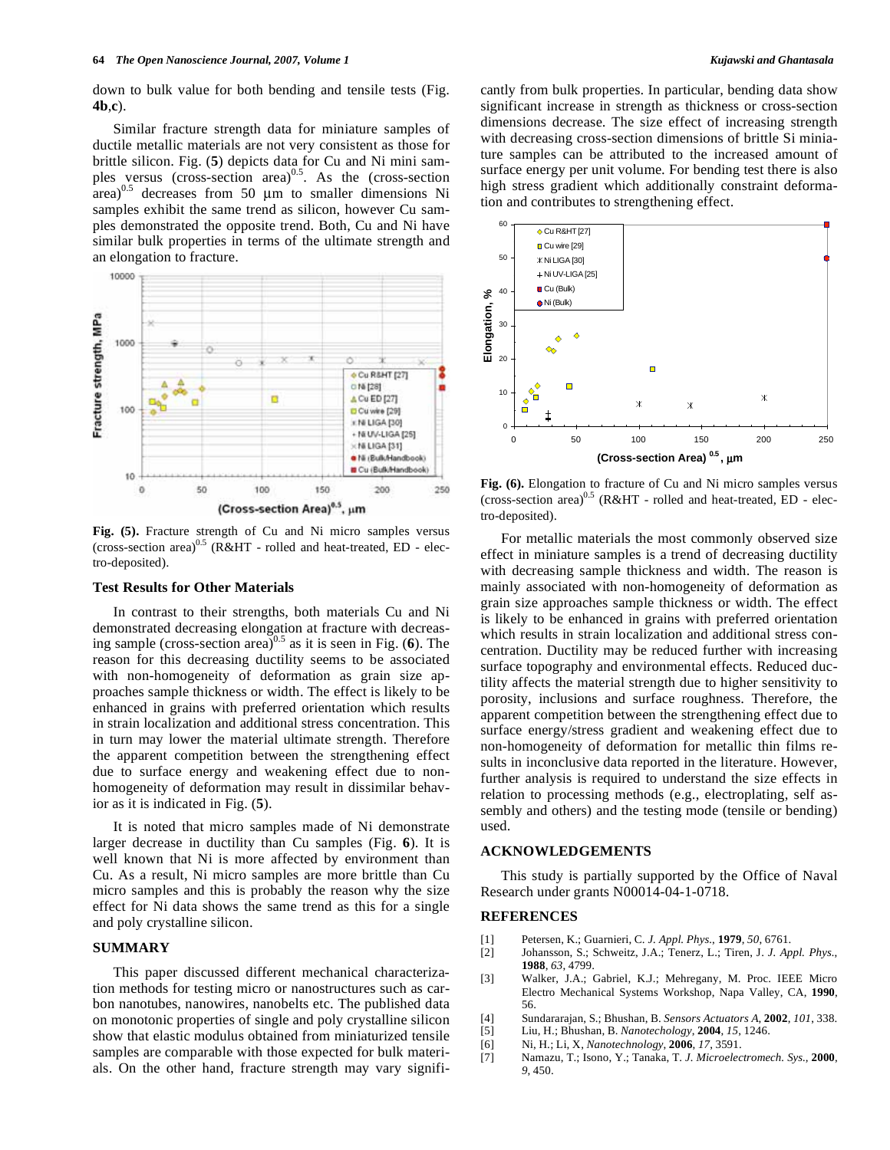**4b**,**c**).

 Similar fracture strength data for miniature samples of ductile metallic materials are not very consistent as those for brittle silicon. Fig. (**5**) depicts data for Cu and Ni mini samples versus (cross-section area) $^{0.5}$ . As the (cross-section  $\arctan^{0.5}$  decreases from 50 µm to smaller dimensions Ni samples exhibit the same trend as silicon, however Cu samples demonstrated the opposite trend. Both, Cu and Ni have similar bulk properties in terms of the ultimate strength and an elongation to fracture.



**Fig. (5).** Fracture strength of Cu and Ni micro samples versus (cross-section area) $^{0.5}$  (R&HT - rolled and heat-treated, ED - electro-deposited).

# **Test Results for Other Materials**

 In contrast to their strengths, both materials Cu and Ni demonstrated decreasing elongation at fracture with decreasing sample (cross-section area)0.5 as it is seen in Fig. (**6**). The reason for this decreasing ductility seems to be associated with non-homogeneity of deformation as grain size approaches sample thickness or width. The effect is likely to be enhanced in grains with preferred orientation which results in strain localization and additional stress concentration. This in turn may lower the material ultimate strength. Therefore the apparent competition between the strengthening effect due to surface energy and weakening effect due to nonhomogeneity of deformation may result in dissimilar behavior as it is indicated in Fig. (**5**).

 It is noted that micro samples made of Ni demonstrate larger decrease in ductility than Cu samples (Fig. **6**). It is well known that Ni is more affected by environment than Cu. As a result, Ni micro samples are more brittle than Cu micro samples and this is probably the reason why the size effect for Ni data shows the same trend as this for a single and poly crystalline silicon.

# **SUMMARY**

 This paper discussed different mechanical characterization methods for testing micro or nanostructures such as carbon nanotubes, nanowires, nanobelts etc. The published data on monotonic properties of single and poly crystalline silicon show that elastic modulus obtained from miniaturized tensile samples are comparable with those expected for bulk materials. On the other hand, fracture strength may vary significantly from bulk properties. In particular, bending data show significant increase in strength as thickness or cross-section dimensions decrease. The size effect of increasing strength with decreasing cross-section dimensions of brittle Si miniature samples can be attributed to the increased amount of surface energy per unit volume. For bending test there is also high stress gradient which additionally constraint deformation and contributes to strengthening effect.



**Fig. (6).** Elongation to fracture of Cu and Ni micro samples versus (cross-section area)<sup>0.5</sup> (R&HT - rolled and heat-treated, ED - electro-deposited).

 For metallic materials the most commonly observed size effect in miniature samples is a trend of decreasing ductility with decreasing sample thickness and width. The reason is mainly associated with non-homogeneity of deformation as grain size approaches sample thickness or width. The effect is likely to be enhanced in grains with preferred orientation which results in strain localization and additional stress concentration. Ductility may be reduced further with increasing surface topography and environmental effects. Reduced ductility affects the material strength due to higher sensitivity to porosity, inclusions and surface roughness. Therefore, the apparent competition between the strengthening effect due to surface energy/stress gradient and weakening effect due to non-homogeneity of deformation for metallic thin films results in inconclusive data reported in the literature. However, further analysis is required to understand the size effects in relation to processing methods (e.g., electroplating, self assembly and others) and the testing mode (tensile or bending) used.

#### **ACKNOWLEDGEMENTS**

 This study is partially supported by the Office of Naval Research under grants N00014-04-1-0718.

#### **REFERENCES**

- [1] Petersen, K.; Guarnieri, C. *J. Appl. Phys.*, **1979**, *50*, 6761.
- [2] Johansson, S.; Schweitz, J.A.; Tenerz, L.; Tiren, J. *J. Appl. Phys.*, **1988**, *63*, 4799.
- [3] Walker, J.A.; Gabriel, K.J.; Mehregany, M. Proc. IEEE Micro Electro Mechanical Systems Workshop, Napa Valley, CA, **1990**, 56.
- [4] Sundararajan, S.; Bhushan, B. *Sensors Actuators A*, **2002**, *101*, 338.
- [5] Liu, H.; Bhushan, B. *Nanotechology*, **2004**, *15*, 1246.
- [6] Ni, H.; Li, X, *Nanotechnology*, **2006**, *17*, 3591.
- [7] Namazu, T.; Isono, Y.; Tanaka, T. *J. Microelectromech. Sys.,* **2000**, *9*, 450.